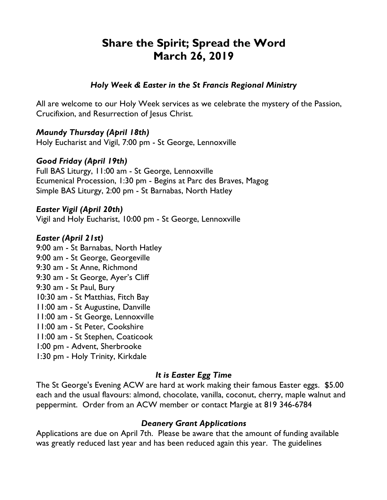# **Share the Spirit; Spread the Word March 26, 2019**

## *Holy Week & Easter in the St Francis Regional Ministry*

All are welcome to our Holy Week services as we celebrate the mystery of the Passion, Crucifixion, and Resurrection of Jesus Christ.

# *Maundy Thursday (April 18th)*

Holy Eucharist and Vigil, 7:00 pm - St George, Lennoxville

# *Good Friday (April 19th)*

Full BAS Liturgy, 11:00 am - St George, Lennoxville Ecumenical Procession, 1:30 pm - Begins at Parc des Braves, Magog Simple BAS Liturgy, 2:00 pm - St Barnabas, North Hatley

#### *Easter Vigil (April 20th)*

Vigil and Holy Eucharist, 10:00 pm - St George, Lennoxville

## *Easter (April 21st)*

9:00 am - St Barnabas, North Hatley 9:00 am - St George, Georgeville 9:30 am - St Anne, Richmond 9:30 am - St George, Ayer's Cliff 9:30 am - St Paul, Bury 10:30 am - St Matthias, Fitch Bay 11:00 am - St Augustine, Danville 11:00 am - St George, Lennoxville 11:00 am - St Peter, Cookshire 11:00 am - St Stephen, Coaticook 1:00 pm - Advent, Sherbrooke 1:30 pm - Holy Trinity, Kirkdale

# *It is Easter Egg Time*

The St George's Evening ACW are hard at work making their famous Easter eggs. \$5.00 each and the usual flavours: almond, chocolate, vanilla, coconut, cherry, maple walnut and peppermint. Order from an ACW member or contact Margie at 819 346-6784

#### *Deanery Grant Applications*

Applications are due on April 7th. Please be aware that the amount of funding available was greatly reduced last year and has been reduced again this year. The guidelines